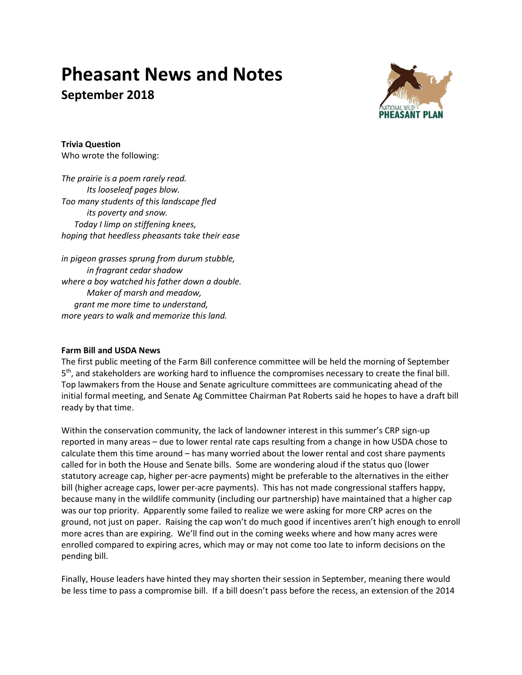# **Pheasant News and Notes September 2018**



**Trivia Question** Who wrote the following:

*The prairie is a poem rarely read. Its looseleaf pages blow. Too many students of this landscape fled its poverty and snow. Today I limp on stiffening knees, hoping that heedless pheasants take their ease*

*in pigeon grasses sprung from durum stubble, in fragrant cedar shadow where a boy watched his father down a double. Maker of marsh and meadow, grant me more time to understand, more years to walk and memorize this land.*

# **Farm Bill and USDA News**

The first public meeting of the Farm Bill conference committee will be held the morning of September 5<sup>th</sup>, and stakeholders are working hard to influence the compromises necessary to create the final bill. Top lawmakers from the House and Senate agriculture committees are communicating ahead of the initial formal meeting, and Senate Ag Committee Chairman Pat Roberts said he hopes to have a draft bill ready by that time.

Within the conservation community, the lack of landowner interest in this summer's CRP sign-up reported in many areas – due to lower rental rate caps resulting from a change in how USDA chose to calculate them this time around – has many worried about the lower rental and cost share payments called for in both the House and Senate bills. Some are wondering aloud if the status quo (lower statutory acreage cap, higher per-acre payments) might be preferable to the alternatives in the either bill (higher acreage caps, lower per-acre payments). This has not made congressional staffers happy, because many in the wildlife community (including our partnership) have maintained that a higher cap was our top priority. Apparently some failed to realize we were asking for more CRP acres on the ground, not just on paper. Raising the cap won't do much good if incentives aren't high enough to enroll more acres than are expiring. We'll find out in the coming weeks where and how many acres were enrolled compared to expiring acres, which may or may not come too late to inform decisions on the pending bill.

Finally, House leaders have hinted they may shorten their session in September, meaning there would be less time to pass a compromise bill. If a bill doesn't pass before the recess, an extension of the 2014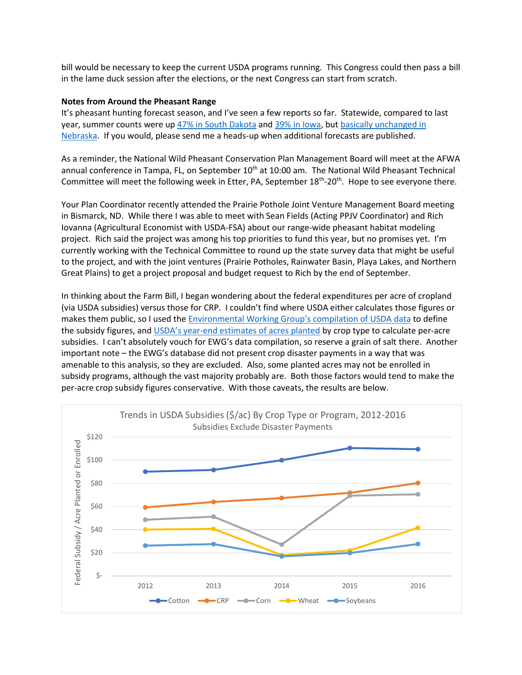bill would be necessary to keep the current USDA programs running. This Congress could then pass a bill in the lame duck session after the elections, or the next Congress can start from scratch.

#### **Notes from Around the Pheasant Range**

It's pheasant hunting forecast season, and I've seen a few reports so far. Statewide, compared to last year, summer counts were up [47% in South Dakota](https://gfp.sd.gov/pheasant/) and [39% in Iowa,](http://www.iowadnr.gov/Hunting/Pheasant-Small-Game) but [basically unchanged in](http://outdoornebraska.gov/wp-content/uploads/2018/08/2018-Nebraska-Forecast.pdf)  [Nebraska.](http://outdoornebraska.gov/wp-content/uploads/2018/08/2018-Nebraska-Forecast.pdf) If you would, please send me a heads-up when additional forecasts are published.

As a reminder, the National Wild Pheasant Conservation Plan Management Board will meet at the AFWA annual conference in Tampa, FL, on September  $10<sup>th</sup>$  at 10:00 am. The National Wild Pheasant Technical Committee will meet the following week in Etter, PA, September 18<sup>th</sup>-20<sup>th</sup>. Hope to see everyone there.

Your Plan Coordinator recently attended the Prairie Pothole Joint Venture Management Board meeting in Bismarck, ND. While there I was able to meet with Sean Fields (Acting PPJV Coordinator) and Rich Iovanna (Agricultural Economist with USDA-FSA) about our range-wide pheasant habitat modeling project. Rich said the project was among his top priorities to fund this year, but no promises yet. I'm currently working with the Technical Committee to round up the state survey data that might be useful to the project, and with the joint ventures (Prairie Potholes, Rainwater Basin, Playa Lakes, and Northern Great Plains) to get a project proposal and budget request to Rich by the end of September.

In thinking about the Farm Bill, I began wondering about the federal expenditures per acre of cropland (via USDA subsidies) versus those for CRP. I couldn't find where USDA either calculates those figures or makes them public, so I used the [Environmental Working Group's compilatio](https://farm.ewg.org/)n of USDA data to define the subsidy figures, and USDA's year[-end estimates of acres planted](https://www.fsa.usda.gov/news-room/efoia/electronic-reading-room/frequently-requested-information/crop-acreage-data/) by crop type to calculate per-acre subsidies. I can't absolutely vouch for EWG's data compilation, so reserve a grain of salt there. Another important note – the EWG's database did not present crop disaster payments in a way that was amenable to this analysis, so they are excluded. Also, some planted acres may not be enrolled in subsidy programs, although the vast majority probably are. Both those factors would tend to make the per-acre crop subsidy figures conservative. With those caveats, the results are below.

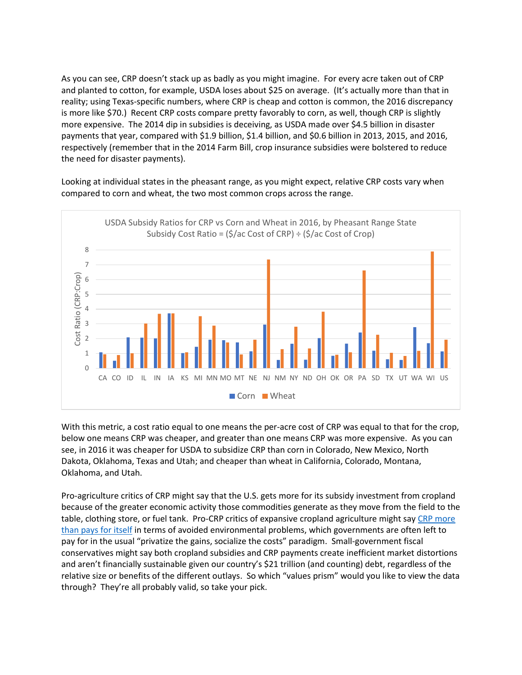As you can see, CRP doesn't stack up as badly as you might imagine. For every acre taken out of CRP and planted to cotton, for example, USDA loses about \$25 on average. (It's actually more than that in reality; using Texas-specific numbers, where CRP is cheap and cotton is common, the 2016 discrepancy is more like \$70.) Recent CRP costs compare pretty favorably to corn, as well, though CRP is slightly more expensive. The 2014 dip in subsidies is deceiving, as USDA made over \$4.5 billion in disaster payments that year, compared with \$1.9 billion, \$1.4 billion, and \$0.6 billion in 2013, 2015, and 2016, respectively (remember that in the 2014 Farm Bill, crop insurance subsidies were bolstered to reduce the need for disaster payments).

Looking at individual states in the pheasant range, as you might expect, relative CRP costs vary when compared to corn and wheat, the two most common crops across the range.



With this metric, a cost ratio equal to one means the per-acre cost of CRP was equal to that for the crop, below one means CRP was cheaper, and greater than one means CRP was more expensive. As you can see, in 2016 it was cheaper for USDA to subsidize CRP than corn in Colorado, New Mexico, North Dakota, Oklahoma, Texas and Utah; and cheaper than wheat in California, Colorado, Montana, Oklahoma, and Utah.

Pro-agriculture critics of CRP might say that the U.S. gets more for its subsidy investment from cropland because of the greater economic activity those commodities generate as they move from the field to the table, clothing store, or fuel tank. Pro-CRP critics of expansive cropland agriculture might say CRP more [than pays for itself](https://www.sciencedirect.com/science/article/pii/S2212041616300663) in terms of avoided environmental problems, which governments are often left to pay for in the usual "privatize the gains, socialize the costs" paradigm. Small-government fiscal conservatives might say both cropland subsidies and CRP payments create inefficient market distortions and aren't financially sustainable given our country's \$21 trillion (and counting) debt, regardless of the relative size or benefits of the different outlays. So which "values prism" would you like to view the data through? They're all probably valid, so take your pick.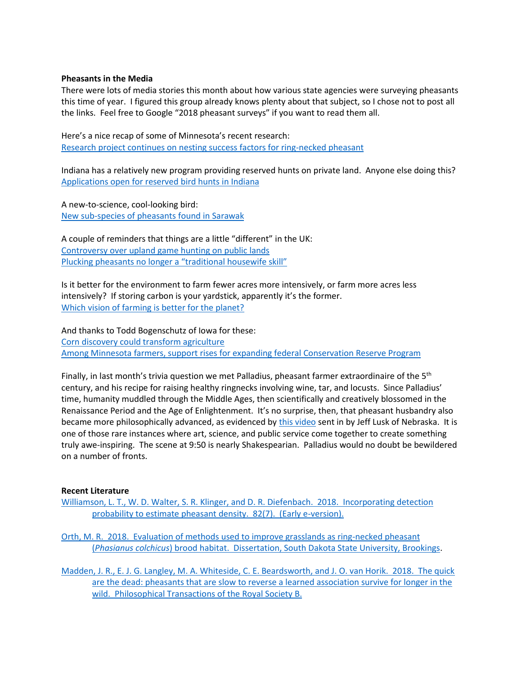### **Pheasants in the Media**

There were lots of media stories this month about how various state agencies were surveying pheasants this time of year. I figured this group already knows plenty about that subject, so I chose not to post all the links. Feel free to Google "2018 pheasant surveys" if you want to read them all.

Here's a nice recap of some of Minnesota's recent research: [Research project continues on nesting success factors for ring-necked pheasant](http://news.dnr.state.mn.us/2018/08/06/research-project-continues-on-nesting-success-factors-for-ring-necked-pheasant/)

Indiana has a relatively new program providing reserved hunts on private land. Anyone else doing this? [Applications open for reserved bird hunts in Indiana](http://www.pharostribune.com/indiana/news/article_17842c32-e32d-549c-9349-371cf64dee59.html)

A new-to-science, cool-looking bird: [New sub-species of pheasants found in Sarawak](https://www.thestar.com.my/news/nation/2018/06/06/news-nibbles/)

A couple of reminders that things are a little "different" in the UK: [Controversy over upland game hunting on public lands](https://www.theguardian.com/world/2018/aug/05/grouse-bird-shooting-ban-ministry-defence-public-land) P[lucking pheasants no longer a "traditional housewife skill"](https://metro.co.uk/2018/08/01/housewife-become-obsolete-38-women-think-term-outdated-7784838/)

Is it better for the environment to farm fewer acres more intensively, or farm more acres less intensively? If storing carbon is your yardstick, apparently it's the former. [Which vision of farming is better for the planet?](https://www.npr.org/sections/thesalt/2018/08/03/634344754/which-vision-of-farming-is-better-for-the-planet?utm_source=twitter.com&utm_medium=social&utm_campaign=npr&utm_term=nprnews&utm_content=20180803)

And thanks to Todd Bogenschutz of Iowa for these: [Corn discovery could transform agriculture](https://www.jsonline.com/story/news/2018/08/20/revolutionary-corn-discovery-could-save-fertilizer-limit-runoff/958401002/) [Among Minnesota farmers, support rises for expanding federal Conservation Reserve Program](http://www.startribune.com/among-farmers-support-rises-for-expanding-federal-conservation-reserve-program/491674171/)

Finally, in last month's trivia question we met Palladius, pheasant farmer extraordinaire of the 5<sup>th</sup> century, and his recipe for raising healthy ringnecks involving wine, tar, and locusts. Since Palladius' time, humanity muddled through the Middle Ages, then scientifically and creatively blossomed in the Renaissance Period and the Age of Enlightenment. It's no surprise, then, that pheasant husbandry also became more philosophically advanced, as evidenced by [this video](https://www.youtube.com/watch?v=Ip6jNgQ-_Qo) sent in by Jeff Lusk of Nebraska. It is one of those rare instances where art, science, and public service come together to create something truly awe-inspiring. The scene at 9:50 is nearly Shakespearian. Palladius would no doubt be bewildered on a number of fronts.

#### **Recent Literature**

[Williamson, L. T., W. D. Walter, S. R. Klinger, and D. R. Diefenbach. 2018. Incorporating detection](https://onlinelibrary.wiley.com/doi/full/10.1002/jwmg.21545)  [probability to estimate pheasant density. 82\(7\). \(Early e-version\).](https://onlinelibrary.wiley.com/doi/full/10.1002/jwmg.21545)

[Orth, M. R. 2018. Evaluation of methods used to improve grasslands as ring-necked pheasant](https://openprairie.sdstate.edu/etd/2658/)  (*Phasianus colchicus*[\) brood habitat. Dissertation, South Dakota State University, Brookings.](https://openprairie.sdstate.edu/etd/2658/)

[Madden, J. R., E. J. G. Langley, M. A. Whiteside, C. E. Beardsworth, and J. O. van Horik. 2018. The quick](http://rstb.royalsocietypublishing.org/content/373/1756/20170297)  [are the dead: pheasants that are slow to reverse a learned association survive for longer in the](http://rstb.royalsocietypublishing.org/content/373/1756/20170297)  [wild. Philosophical Transactions of the Royal Society B.](http://rstb.royalsocietypublishing.org/content/373/1756/20170297)